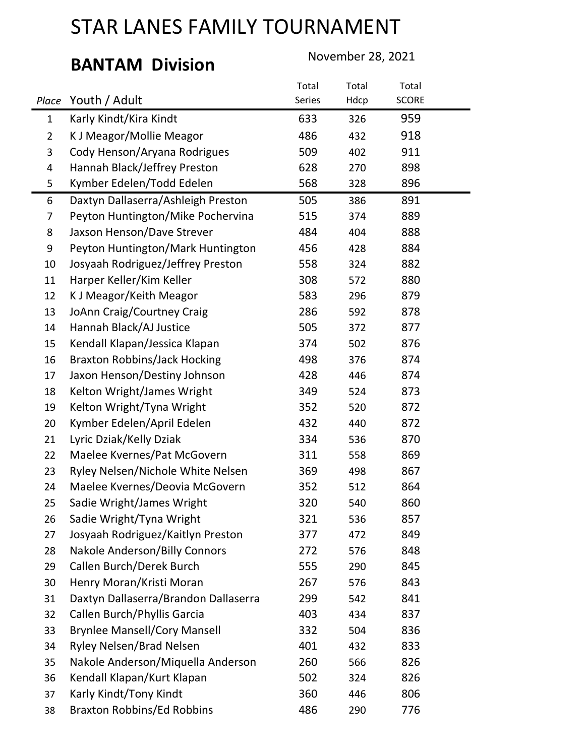# BANTAM Division November 28, 2021

|                |                                      | Total  | Total | Total        |  |
|----------------|--------------------------------------|--------|-------|--------------|--|
| Place          | Youth / Adult                        | Series | Hdcp  | <b>SCORE</b> |  |
| $\mathbf{1}$   | Karly Kindt/Kira Kindt               | 633    | 326   | 959          |  |
| $\overline{2}$ | K J Meagor/Mollie Meagor             | 486    | 432   | 918          |  |
| 3              | Cody Henson/Aryana Rodrigues         | 509    | 402   | 911          |  |
| 4              | Hannah Black/Jeffrey Preston         | 628    | 270   | 898          |  |
| 5              | Kymber Edelen/Todd Edelen            | 568    | 328   | 896          |  |
| 6              | Daxtyn Dallaserra/Ashleigh Preston   | 505    | 386   | 891          |  |
| 7              | Peyton Huntington/Mike Pochervina    | 515    | 374   | 889          |  |
| 8              | Jaxson Henson/Dave Strever           | 484    | 404   | 888          |  |
| 9              | Peyton Huntington/Mark Huntington    | 456    | 428   | 884          |  |
| 10             | Josyaah Rodriguez/Jeffrey Preston    | 558    | 324   | 882          |  |
| 11             | Harper Keller/Kim Keller             | 308    | 572   | 880          |  |
| 12             | K J Meagor/Keith Meagor              | 583    | 296   | 879          |  |
| 13             | JoAnn Craig/Courtney Craig           | 286    | 592   | 878          |  |
| 14             | Hannah Black/AJ Justice              | 505    | 372   | 877          |  |
| 15             | Kendall Klapan/Jessica Klapan        | 374    | 502   | 876          |  |
| 16             | <b>Braxton Robbins/Jack Hocking</b>  | 498    | 376   | 874          |  |
| 17             | Jaxon Henson/Destiny Johnson         | 428    | 446   | 874          |  |
| 18             | Kelton Wright/James Wright           | 349    | 524   | 873          |  |
| 19             | Kelton Wright/Tyna Wright            | 352    | 520   | 872          |  |
| 20             | Kymber Edelen/April Edelen           | 432    | 440   | 872          |  |
| 21             | Lyric Dziak/Kelly Dziak              | 334    | 536   | 870          |  |
| 22             | Maelee Kvernes/Pat McGovern          | 311    | 558   | 869          |  |
| 23             | Ryley Nelsen/Nichole White Nelsen    | 369    | 498   | 867          |  |
| 24             | Maelee Kvernes/Deovia McGovern       | 352    | 512   | 864          |  |
| 25             | Sadie Wright/James Wright            | 320    | 540   | 860          |  |
| 26             | Sadie Wright/Tyna Wright             | 321    | 536   | 857          |  |
| 27             | Josyaah Rodriguez/Kaitlyn Preston    | 377    | 472   | 849          |  |
| 28             | <b>Nakole Anderson/Billy Connors</b> | 272    | 576   | 848          |  |
| 29             | Callen Burch/Derek Burch             | 555    | 290   | 845          |  |
| 30             | Henry Moran/Kristi Moran             | 267    | 576   | 843          |  |
| 31             | Daxtyn Dallaserra/Brandon Dallaserra | 299    | 542   | 841          |  |
| 32             | Callen Burch/Phyllis Garcia          | 403    | 434   | 837          |  |
| 33             | <b>Brynlee Mansell/Cory Mansell</b>  | 332    | 504   | 836          |  |
| 34             | <b>Ryley Nelsen/Brad Nelsen</b>      | 401    | 432   | 833          |  |
| 35             | Nakole Anderson/Miquella Anderson    | 260    | 566   | 826          |  |
| 36             | Kendall Klapan/Kurt Klapan           | 502    | 324   | 826          |  |
| 37             | Karly Kindt/Tony Kindt               | 360    | 446   | 806          |  |
| 38             | <b>Braxton Robbins/Ed Robbins</b>    | 486    | 290   | 776          |  |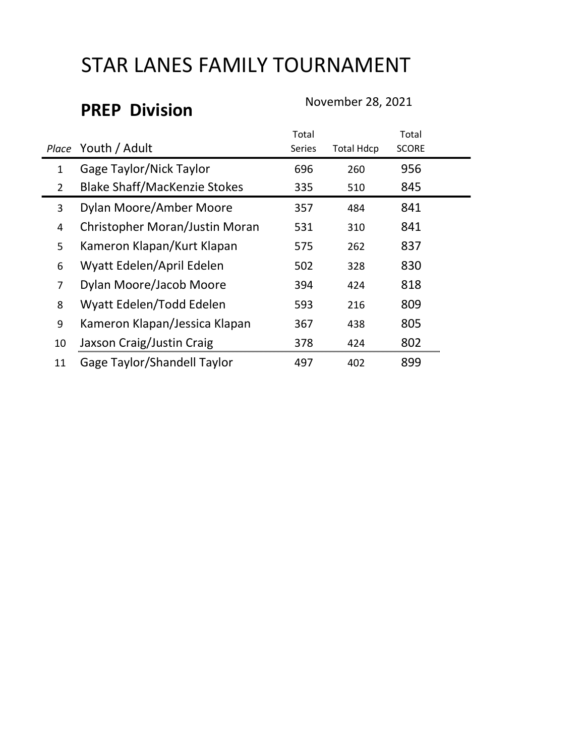## PREP Division November 28, 2021

|                |                                     | Total  |                   | Total        |
|----------------|-------------------------------------|--------|-------------------|--------------|
|                | Place Youth / Adult                 | Series | <b>Total Hdcp</b> | <b>SCORE</b> |
| $\mathbf 1$    | <b>Gage Taylor/Nick Taylor</b>      | 696    | 260               | 956          |
| $\overline{2}$ | <b>Blake Shaff/MacKenzie Stokes</b> | 335    | 510               | 845          |
| 3              | Dylan Moore/Amber Moore             | 357    | 484               | 841          |
| 4              | Christopher Moran/Justin Moran      | 531    | 310               | 841          |
| 5              | Kameron Klapan/Kurt Klapan          | 575    | 262               | 837          |
| 6              | Wyatt Edelen/April Edelen           | 502    | 328               | 830          |
| $\overline{7}$ | Dylan Moore/Jacob Moore             | 394    | 424               | 818          |
| 8              | Wyatt Edelen/Todd Edelen            | 593    | 216               | 809          |
| 9              | Kameron Klapan/Jessica Klapan       | 367    | 438               | 805          |
| 10             | Jaxson Craig/Justin Craig           | 378    | 424               | 802          |
| 11             | <b>Gage Taylor/Shandell Taylor</b>  | 497    | 402               | 899          |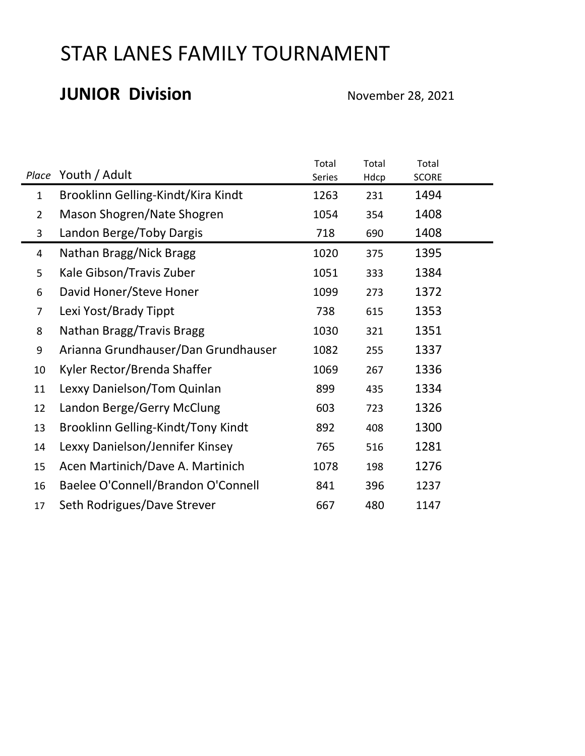#### JUNIOR Division November 28, 2021

|                |                                     | Total  | Total | Total        |  |
|----------------|-------------------------------------|--------|-------|--------------|--|
| Place          | Youth / Adult                       | Series | Hdcp  | <b>SCORE</b> |  |
| $\mathbf 1$    | Brooklinn Gelling-Kindt/Kira Kindt  | 1263   | 231   | 1494         |  |
| $\overline{2}$ | Mason Shogren/Nate Shogren          | 1054   | 354   | 1408         |  |
| 3              | Landon Berge/Toby Dargis            | 718    | 690   | 1408         |  |
| 4              | Nathan Bragg/Nick Bragg             | 1020   | 375   | 1395         |  |
| 5              | Kale Gibson/Travis Zuber            | 1051   | 333   | 1384         |  |
| 6              | David Honer/Steve Honer             | 1099   | 273   | 1372         |  |
| 7              | Lexi Yost/Brady Tippt               | 738    | 615   | 1353         |  |
| 8              | Nathan Bragg/Travis Bragg           | 1030   | 321   | 1351         |  |
| 9              | Arianna Grundhauser/Dan Grundhauser | 1082   | 255   | 1337         |  |
| 10             | Kyler Rector/Brenda Shaffer         | 1069   | 267   | 1336         |  |
| 11             | Lexxy Danielson/Tom Quinlan         | 899    | 435   | 1334         |  |
| 12             | Landon Berge/Gerry McClung          | 603    | 723   | 1326         |  |
| 13             | Brooklinn Gelling-Kindt/Tony Kindt  | 892    | 408   | 1300         |  |
| 14             | Lexxy Danielson/Jennifer Kinsey     | 765    | 516   | 1281         |  |
| 15             | Acen Martinich/Dave A. Martinich    | 1078   | 198   | 1276         |  |
| 16             | Baelee O'Connell/Brandon O'Connell  | 841    | 396   | 1237         |  |
| 17             | Seth Rodrigues/Dave Strever         | 667    | 480   | 1147         |  |